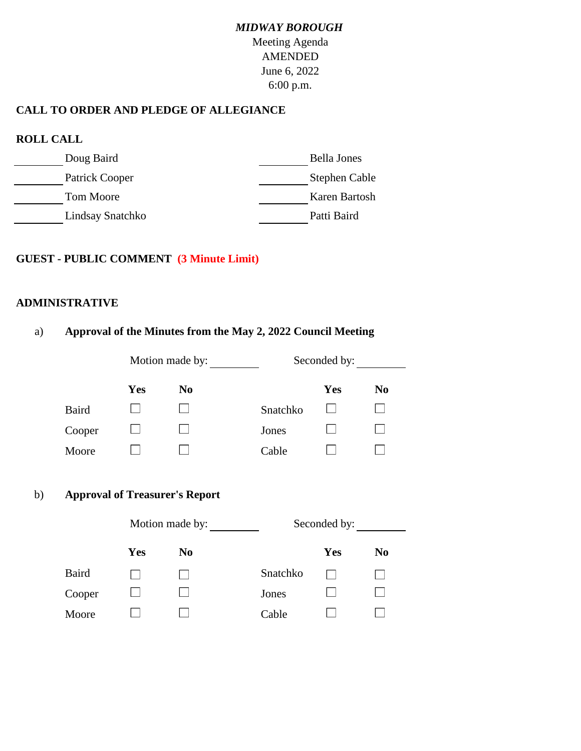# *MIDWAY BOROUGH* Meeting Agenda AMENDED June 6, 2022 6:00 p.m.

## **CALL TO ORDER AND PLEDGE OF ALLEGIANCE**

| <b>ROLL CALL</b> |                    |  |  |  |  |  |
|------------------|--------------------|--|--|--|--|--|
| Doug Baird       | <b>Bella Jones</b> |  |  |  |  |  |
| Patrick Cooper   | Stephen Cable      |  |  |  |  |  |
| <b>Tom Moore</b> | Karen Bartosh      |  |  |  |  |  |
| Lindsay Snatchko | Patti Baird        |  |  |  |  |  |

#### **GUEST - PUBLIC COMMENT (3 Minute Limit)**

#### **ADMINISTRATIVE**

|              |                                       |                 | $\frac{1}{2}$ $\frac{1}{2}$ $\frac{1}{2}$ $\frac{1}{2}$ $\frac{1}{2}$ $\frac{1}{2}$ $\frac{1}{2}$ $\frac{1}{2}$ $\frac{1}{2}$ $\frac{1}{2}$ $\frac{1}{2}$ $\frac{1}{2}$ $\frac{1}{2}$ $\frac{1}{2}$ $\frac{1}{2}$ $\frac{1}{2}$ $\frac{1}{2}$ $\frac{1}{2}$ $\frac{1}{2}$ $\frac{1}{2}$ $\frac{1}{2}$ $\frac{1}{2}$ |              |                |
|--------------|---------------------------------------|-----------------|---------------------------------------------------------------------------------------------------------------------------------------------------------------------------------------------------------------------------------------------------------------------------------------------------------------------|--------------|----------------|
|              |                                       | Motion made by: | Seconded by:                                                                                                                                                                                                                                                                                                        |              |                |
|              | <b>Yes</b>                            | N <sub>0</sub>  |                                                                                                                                                                                                                                                                                                                     | Yes          | N <sub>0</sub> |
| <b>Baird</b> |                                       |                 | Snatchko                                                                                                                                                                                                                                                                                                            |              |                |
| Cooper       |                                       |                 | Jones                                                                                                                                                                                                                                                                                                               |              |                |
| Moore        |                                       |                 | Cable                                                                                                                                                                                                                                                                                                               |              |                |
|              | <b>Approval of Treasurer's Report</b> | Motion made by: |                                                                                                                                                                                                                                                                                                                     | Seconded by: |                |
|              | <b>Yes</b>                            | N <sub>0</sub>  |                                                                                                                                                                                                                                                                                                                     | Yes          | N <sub>0</sub> |
| <b>Baird</b> |                                       |                 | Snatchko                                                                                                                                                                                                                                                                                                            |              |                |
|              |                                       |                 |                                                                                                                                                                                                                                                                                                                     |              |                |
| Cooper       |                                       |                 | Jones                                                                                                                                                                                                                                                                                                               |              |                |
| Moore        |                                       |                 | Cable                                                                                                                                                                                                                                                                                                               |              |                |

# a) **Approval of the Minutes from the May 2, 2022 Council Meeting**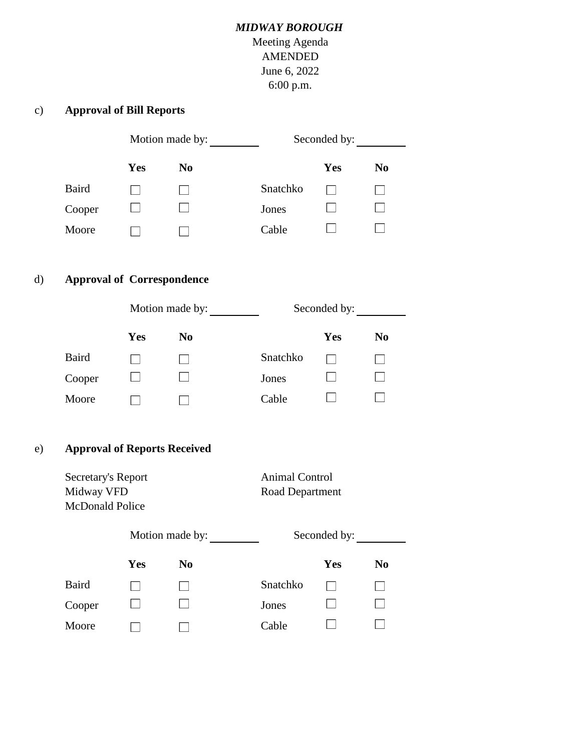## *MIDWAY BOROUGH*

Meeting Agenda AMENDED June 6, 2022 6:00 p.m.

## c) **Approval of Bill Reports**

|              | Motion made by: |                |          | Seconded by: |                |  |
|--------------|-----------------|----------------|----------|--------------|----------------|--|
|              | Yes             | N <sub>0</sub> |          | <b>Yes</b>   | N <sub>0</sub> |  |
| <b>Baird</b> |                 |                | Snatchko |              |                |  |
| Cooper       |                 |                | Jones    |              |                |  |
| Moore        |                 |                | Cable    |              |                |  |

## d) **Approval of Correspondence**

|              | Motion made by: |                |          | Seconded by: |                |  |
|--------------|-----------------|----------------|----------|--------------|----------------|--|
|              | <b>Yes</b>      | N <sub>0</sub> |          | Yes          | N <sub>0</sub> |  |
| <b>Baird</b> |                 |                | Snatchko |              |                |  |
| Cooper       |                 |                | Jones    |              |                |  |
| Moore        |                 |                | Cable    |              |                |  |

#### e) **Approval of Reports Received**

| Secretary's Report<br>Midway VFD<br>McDonald Police |     |                 | <b>Animal Control</b><br>Road Department |              |                |
|-----------------------------------------------------|-----|-----------------|------------------------------------------|--------------|----------------|
|                                                     |     | Motion made by: |                                          | Seconded by: |                |
|                                                     | Yes | $\bf No$        |                                          | Yes          | N <sub>0</sub> |
| <b>Baird</b>                                        |     |                 | Snatchko                                 |              |                |
| Cooper                                              |     |                 | Jones                                    |              |                |
| Moore                                               |     |                 | Cable                                    |              |                |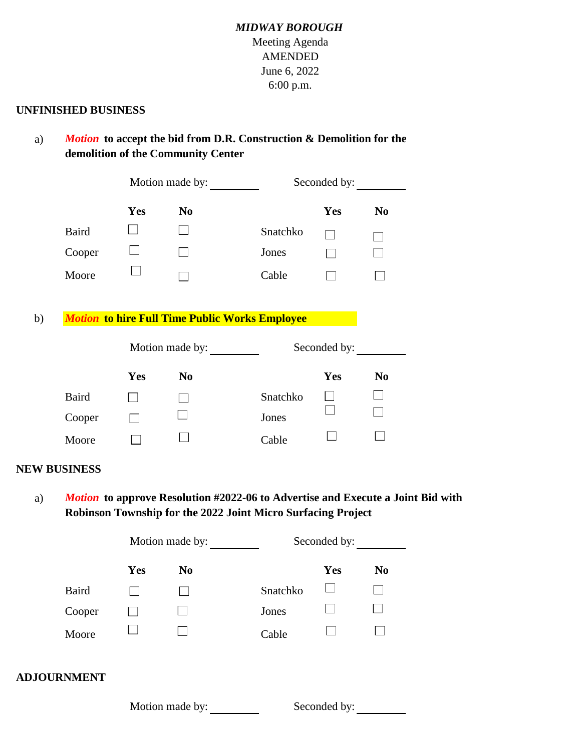## *MIDWAY BOROUGH* Meeting Agenda AMENDED June 6, 2022 6:00 p.m.

#### **UNFINISHED BUSINESS**

a) *Motion* **to accept the bid from D.R. Construction & Demolition for the demolition of the Community Center**

|    |                     | Motion made by: |                                                       | Seconded by: |            |                |
|----|---------------------|-----------------|-------------------------------------------------------|--------------|------------|----------------|
|    |                     | Yes             | N <sub>0</sub>                                        |              | Yes        | N <sub>0</sub> |
|    | <b>Baird</b>        |                 |                                                       | Snatchko     |            |                |
|    | Cooper              |                 |                                                       | Jones        |            |                |
|    | Moore               |                 |                                                       | Cable        |            |                |
|    |                     |                 |                                                       |              |            |                |
| b) |                     |                 | <b>Motion to hire Full Time Public Works Employee</b> |              |            |                |
|    |                     | Motion made by: |                                                       | Seconded by: |            |                |
|    |                     | <b>Yes</b>      | N <sub>0</sub>                                        |              | <b>Yes</b> | N <sub>0</sub> |
|    | <b>Baird</b>        |                 |                                                       | Snatchko     |            |                |
|    | Cooper              |                 |                                                       | Jones        |            |                |
|    | Moore               |                 |                                                       | Cable        |            |                |
|    | <b>NEW BUSINESS</b> |                 |                                                       |              |            |                |

a) *Motion* **to approve Resolution #2022-06 to Advertise and Execute a Joint Bid with Robinson Township for the 2022 Joint Micro Surfacing Project**

|                    | Motion made by: |                 | Seconded by: |              |                |
|--------------------|-----------------|-----------------|--------------|--------------|----------------|
|                    | Yes             | N <sub>0</sub>  |              | Yes          | N <sub>0</sub> |
| <b>Baird</b>       |                 |                 | Snatchko     |              |                |
| Cooper             |                 |                 | Jones        |              |                |
| Moore              |                 |                 | Cable        |              |                |
| <b>ADJOURNMENT</b> |                 |                 |              |              |                |
|                    |                 | Motion made by: |              | Seconded by: |                |